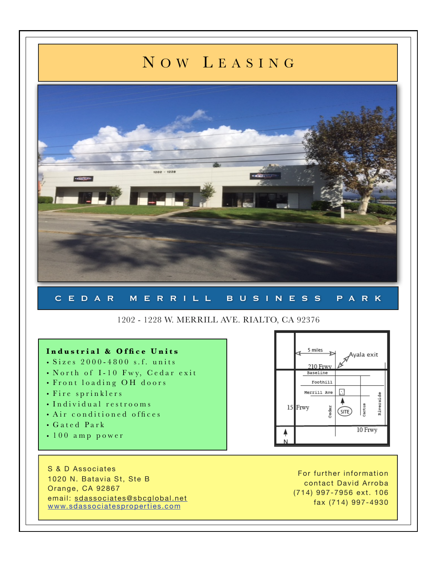## N OW L EASING



## 1202 - 1228 W. MERRILL AVE. RIALTO, CA 92376

## **Industrial & Office Units** 5 miles wala exit • Sizes 2000-4800 s.f. units 210 Frwy • North of I-10 Fwy, Cedar exit Baseline • Front loading OH doors Foothill Merrill Ave • Fire sprinklers E • Individual restrooms  $15$ Frwy Cactus edar? (site) • Air conditioned offices • Gated Park 10 Frwy • 100 amp power S & D Associates For further information 1020 N. Batavia St, Ste B

Orange, CA 92867 email: [sdassociates@sbcglobal.net](mailto:sdassociates@sbcglobal.net) [www.sdassociatesproperties.com](http://www.sdassociatesproperties.com)

contact David Arroba (714) 997-7956 ext. 106 fax (714) 997-4930